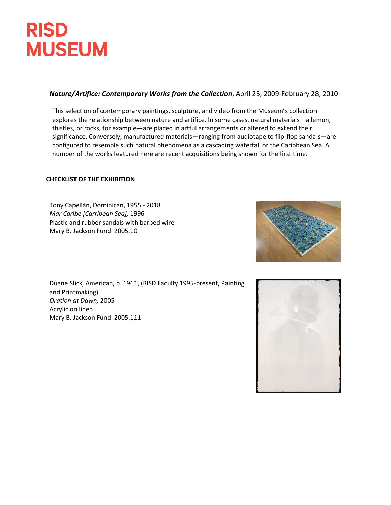## **RISD MUSEUM**

## *Nature/Artifice: Contemporary Works from the Collection*, April 25, 2009-February 28, 2010

This selection of contemporary paintings, sculpture, and video from the Museum's collection explores the relationship between nature and artifice. In some cases, natural materials—a lemon, thistles, or rocks, for example—are placed in artful arrangements or altered to extend their significance. Conversely, manufactured materials—ranging from audiotape to flip-flop sandals—are configured to resemble such natural phenomena as a cascading waterfall or the Caribbean Sea. A number of the works featured here are recent acquisitions being shown for the first time.

## **CHECKLIST OF THE EXHIBITION**

Tony Capellán, Dominican, 1955 - 2018 *Mar Caribe [Carribean Sea],* 1996 Plastic and rubber sandals with barbed wire Mary B. Jackson Fund 2005.10

Duane Slick, American, b. 1961, (RISD Faculty 1995-present, Painting and Printmaking) *Oration at Dawn,* 2005 Acrylic on linen Mary B. Jackson Fund 2005.111



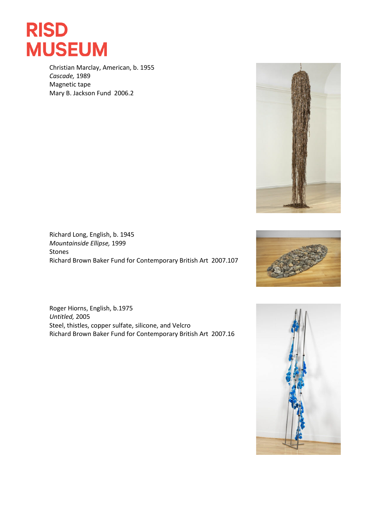

Christian Marclay, American, b. 1955 *Cascade,* 1989 Magnetic tape Mary B. Jackson Fund 2006.2



Richard Long, English, b. 1945 *Mountainside Ellipse,* 1999 Stones Richard Brown Baker Fund for Contemporary British Art 2007.107





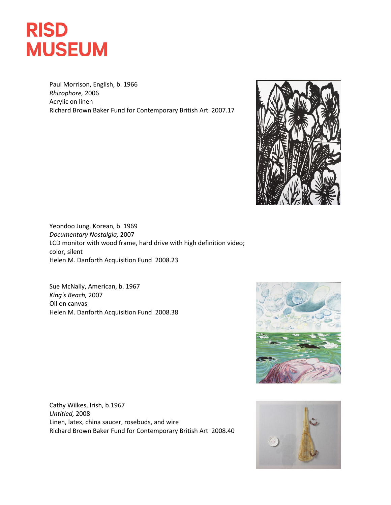

Paul Morrison, English, b. 1966 *Rhizophore,* 2006 Acrylic on linen Richard Brown Baker Fund for Contemporary British Art 2007.17



Yeondoo Jung, Korean, b. 1969 *Documentary Nostalgia,* 2007 LCD monitor with wood frame, hard drive with high definition video; color, silent Helen M. Danforth Acquisition Fund 2008.23

Sue McNally, American, b. 1967 *King's Beach,* 2007 Oil on canvas Helen M. Danforth Acquisition Fund 2008.38



Cathy Wilkes, Irish, b.1967 *Untitled,* 2008 Linen, latex, china saucer, rosebuds, and wire Richard Brown Baker Fund for Contemporary British Art 2008.40